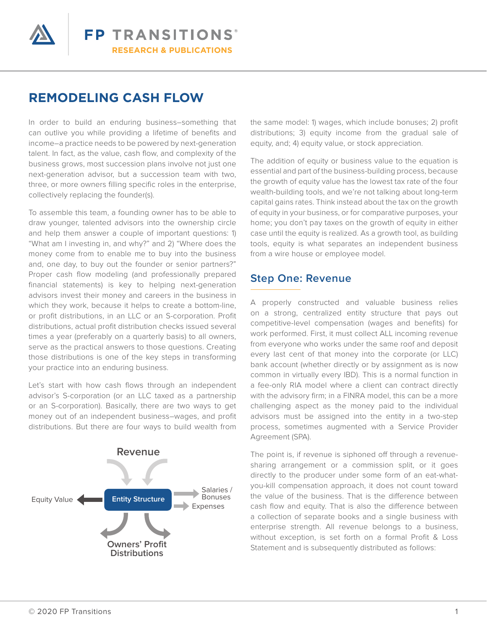

# **REMODELING CASH FLOW**

In order to build an enduring business–something that can outlive you while providing a lifetime of benefits and income–a practice needs to be powered by next-generation talent. In fact, as the value, cash flow, and complexity of the business grows, most succession plans involve not just one next-generation advisor, but a succession team with two, three, or more owners filling specific roles in the enterprise, collectively replacing the founder(s).

To assemble this team, a founding owner has to be able to draw younger, talented advisors into the ownership circle and help them answer a couple of important questions: 1) "What am I investing in, and why?" and 2) "Where does the money come from to enable me to buy into the business and, one day, to buy out the founder or senior partners?" Proper cash flow modeling (and professionally prepared financial statements) is key to helping next-generation advisors invest their money and careers in the business in which they work, because it helps to create a bottom-line, or profit distributions, in an LLC or an S-corporation. Profit distributions, actual profit distribution checks issued several times a year (preferably on a quarterly basis) to all owners, serve as the practical answers to those questions. Creating those distributions is one of the key steps in transforming your practice into an enduring business.

Let's start with how cash flows through an independent advisor's S-corporation (or an LLC taxed as a partnership or an S-corporation). Basically, there are two ways to get money out of an independent business–wages, and profit distributions. But there are four ways to build wealth from



the same model: 1) wages, which include bonuses; 2) profit distributions; 3) equity income from the gradual sale of equity, and; 4) equity value, or stock appreciation.

The addition of equity or business value to the equation is essential and part of the business-building process, because the growth of equity value has the lowest tax rate of the four wealth-building tools, and we're not talking about long-term capital gains rates. Think instead about the tax on the growth of equity in your business, or for comparative purposes, your home; you don't pay taxes on the growth of equity in either case until the equity is realized. As a growth tool, as building tools, equity is what separates an independent business from a wire house or employee model.

#### **Step One: Revenue**

A properly constructed and valuable business relies on a strong, centralized entity structure that pays out competitive-level compensation (wages and benefits) for work performed. First, it must collect ALL incoming revenue from everyone who works under the same roof and deposit every last cent of that money into the corporate (or LLC) bank account (whether directly or by assignment as is now common in virtually every IBD). This is a normal function in a fee-only RIA model where a client can contract directly with the advisory firm; in a FINRA model, this can be a more challenging aspect as the money paid to the individual advisors must be assigned into the entity in a two-step process, sometimes augmented with a Service Provider Agreement (SPA).

The point is, if revenue is siphoned off through a revenuesharing arrangement or a commission split, or it goes directly to the producer under some form of an eat-whatyou-kill compensation approach, it does not count toward the value of the business. That is the difference between cash flow and equity. That is also the difference between a collection of separate books and a single business with enterprise strength. All revenue belongs to a business, without exception, is set forth on a formal Profit & Loss Statement and is subsequently distributed as follows: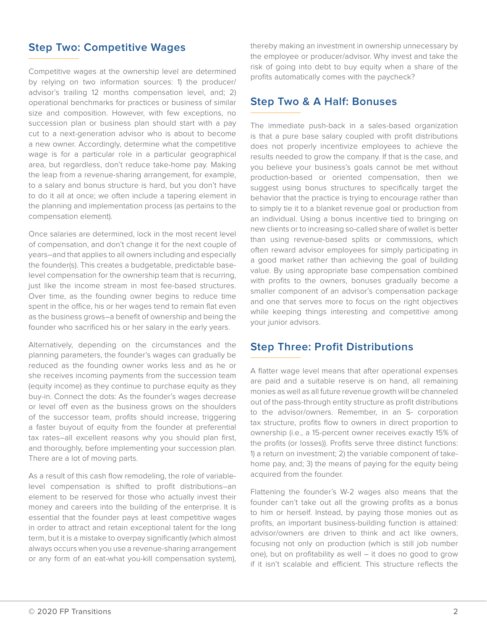### **Step Two: Competitive Wages**

Competitive wages at the ownership level are determined by relying on two information sources: 1) the producer/ advisor's trailing 12 months compensation level, and; 2) operational benchmarks for practices or business of similar size and composition. However, with few exceptions, no succession plan or business plan should start with a pay cut to a next-generation advisor who is about to become a new owner. Accordingly, determine what the competitive wage is for a particular role in a particular geographical area, but regardless, don't reduce take-home pay. Making the leap from a revenue-sharing arrangement, for example, to a salary and bonus structure is hard, but you don't have to do it all at once; we often include a tapering element in the planning and implementation process (as pertains to the compensation element).

Once salaries are determined, lock in the most recent level of compensation, and don't change it for the next couple of years–and that applies to all owners including and especially the founder(s). This creates a budgetable, predictable baselevel compensation for the ownership team that is recurring, just like the income stream in most fee-based structures. Over time, as the founding owner begins to reduce time spent in the office, his or her wages tend to remain flat even as the business grows–a benefit of ownership and being the founder who sacrificed his or her salary in the early years.

Alternatively, depending on the circumstances and the planning parameters, the founder's wages can gradually be reduced as the founding owner works less and as he or she receives incoming payments from the succession team (equity income) as they continue to purchase equity as they buy-in. Connect the dots: As the founder's wages decrease or level off even as the business grows on the shoulders of the successor team, profits should increase, triggering a faster buyout of equity from the founder at preferential tax rates–all excellent reasons why you should plan first, and thoroughly, before implementing your succession plan. There are a lot of moving parts.

As a result of this cash flow remodeling, the role of variablelevel compensation is shifted to profit distributions–an element to be reserved for those who actually invest their money and careers into the building of the enterprise. It is essential that the founder pays at least competitive wages in order to attract and retain exceptional talent for the long term, but it is a mistake to overpay significantly (which almost always occurs when you use a revenue-sharing arrangement or any form of an eat-what you-kill compensation system), thereby making an investment in ownership unnecessary by the employee or producer/advisor. Why invest and take the risk of going into debt to buy equity when a share of the profits automatically comes with the paycheck?

#### **Step Two & A Half: Bonuses**

The immediate push-back in a sales-based organization is that a pure base salary coupled with profit distributions does not properly incentivize employees to achieve the results needed to grow the company. If that is the case, and you believe your business's goals cannot be met without production-based or oriented compensation, then we suggest using bonus structures to specifically target the behavior that the practice is trying to encourage rather than to simply tie it to a blanket revenue goal or production from an individual. Using a bonus incentive tied to bringing on new clients or to increasing so-called share of wallet is better than using revenue-based splits or commissions, which often reward advisor employees for simply participating in a good market rather than achieving the goal of building value. By using appropriate base compensation combined with profits to the owners, bonuses gradually become a smaller component of an advisor's compensation package and one that serves more to focus on the right objectives while keeping things interesting and competitive among your junior advisors.

#### **Step Three: Profit Distributions**

A flatter wage level means that after operational expenses are paid and a suitable reserve is on hand, all remaining monies as well as all future revenue growth will be channeled out of the pass-through entity structure as profit distributions to the advisor/owners. Remember, in an S- corporation tax structure, profits flow to owners in direct proportion to ownership (i.e., a 15-percent owner receives exactly 15% of the profits (or losses)). Profits serve three distinct functions: 1) a return on investment; 2) the variable component of takehome pay, and; 3) the means of paying for the equity being acquired from the founder.

Flattening the founder's W-2 wages also means that the founder can't take out all the growing profits as a bonus to him or herself. Instead, by paying those monies out as profits, an important business-building function is attained: advisor/owners are driven to think and act like owners, focusing not only on production (which is still job number one), but on profitability as well – it does no good to grow if it isn't scalable and efficient. This structure reflects the